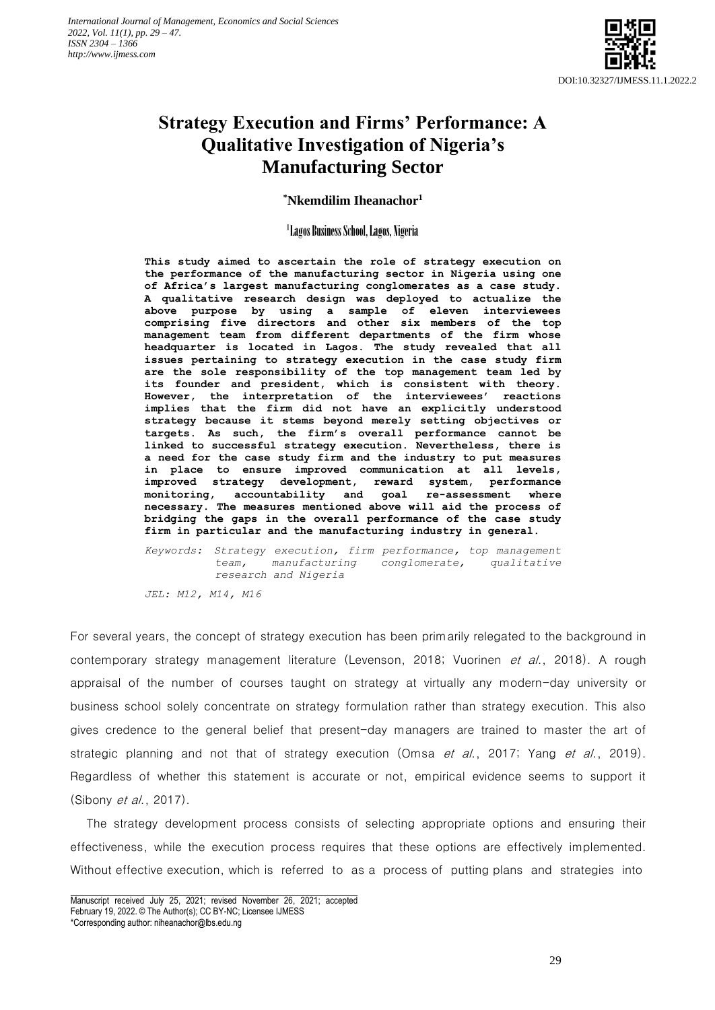

# **Strategy Execution and Firms' Performance: A Qualitative Investigation of Nigeria's Manufacturing Sector**

**\*Nkemdilim Iheanachor<sup>1</sup>**

1 Lagos Business School, Lagos, Nigeria

**This study aimed to ascertain the role of strategy execution on the performance of the manufacturing sector in Nigeria using one of Africa's largest manufacturing conglomerates as a case study. A qualitative research design was deployed to actualize the above purpose by using a sample of eleven interviewees comprising five directors and other six members of the top management team from different departments of the firm whose headquarter is located in Lagos. The study revealed that all issues pertaining to strategy execution in the case study firm are the sole responsibility of the top management team led by its founder and president, which is consistent with theory. However, the interpretation of the interviewees' reactions implies that the firm did not have an explicitly understood strategy because it stems beyond merely setting objectives or targets. As such, the firm's overall performance cannot be linked to successful strategy execution. Nevertheless, there is a need for the case study firm and the industry to put measures in place to ensure improved communication at all levels, improved strategy development, reward system, performance monitoring, accountability and goal re-assessment where necessary. The measures mentioned above will aid the process of bridging the gaps in the overall performance of the case study firm in particular and the manufacturing industry in general.**

*Keywords: Strategy execution, firm performance, top management team, manufacturing conglomerate, qualitative research and Nigeria*

*JEL: M12, M14, M16*

For several years, the concept of strategy execution has been primarily relegated to the background in contemporary strategy management literature (Levenson, 2018; Vuorinen et al., 2018). A rough appraisal of the number of courses taught on strategy at virtually any modern-day university or business school solely concentrate on strategy formulation rather than strategy execution. This also gives credence to the general belief that present-day managers are trained to master the art of strategic planning and not that of strategy execution (Omsa et al., 2017; Yang et al., 2019). Regardless of whether this statement is accurate or not, empirical evidence seems to support it (Sibony *et al.*, 2017).

The strategy development process consists of selecting appropriate options and ensuring their effectiveness, while the execution process requires that these options are effectively implemented. Without effective execution, which is referred to as a process of putting plans and strategies into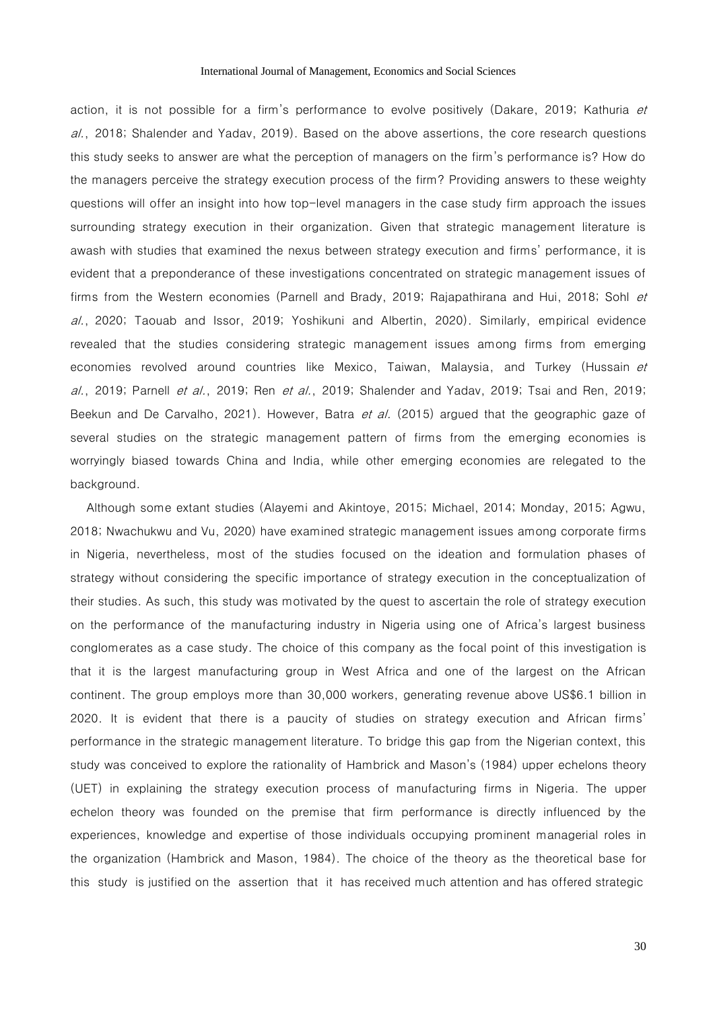action, it is not possible for a firm's performance to evolve positively (Dakare, 2019; Kathuria et al., 2018; Shalender and Yadav, 2019). Based on the above assertions, the core research questions this study seeks to answer are what the perception of managers on the firm's performance is? How do the managers perceive the strategy execution process of the firm? Providing answers to these weighty questions will offer an insight into how top-level managers in the case study firm approach the issues surrounding strategy execution in their organization. Given that strategic management literature is awash with studies that examined the nexus between strategy execution and firms' performance, it is evident that a preponderance of these investigations concentrated on strategic management issues of firms from the Western economies (Parnell and Brady, 2019; Rajapathirana and Hui, 2018; Sohl et al., 2020; Taouab and Issor, 2019; Yoshikuni and Albertin, 2020). Similarly, empirical evidence revealed that the studies considering strategic management issues among firms from emerging economies revolved around countries like Mexico, Taiwan, Malaysia, and Turkey (Hussain et al., 2019; Parnell et al., 2019; Ren et al., 2019; Shalender and Yadav, 2019; Tsai and Ren, 2019; Beekun and De Carvalho, 2021). However, Batra *et al.* (2015) argued that the geographic gaze of several studies on the strategic management pattern of firms from the emerging economies is worryingly biased towards China and India, while other emerging economies are relegated to the background.

Although some extant studies (Alayemi and Akintoye, 2015; Michael, 2014; Monday, 2015; Agwu, 2018; Nwachukwu and Vu, 2020) have examined strategic management issues among corporate firms in Nigeria, nevertheless, most of the studies focused on the ideation and formulation phases of strategy without considering the specific importance of strategy execution in the conceptualization of their studies. As such, this study was motivated by the quest to ascertain the role of strategy execution on the performance of the manufacturing industry in Nigeria using one of Africa's largest business conglomerates as a case study. The choice of this company as the focal point of this investigation is that it is the largest manufacturing group in West Africa and one of the largest on the African continent. The group employs more than 30,000 workers, generating revenue above US\$6.1 billion in 2020. It is evident that there is a paucity of studies on strategy execution and African firms' performance in the strategic management literature. To bridge this gap from the Nigerian context, this study was conceived to explore the rationality of Hambrick and Mason's (1984) upper echelons theory (UET) in explaining the strategy execution process of manufacturing firms in Nigeria. The upper echelon theory was founded on the premise that firm performance is directly influenced by the experiences, knowledge and expertise of those individuals occupying prominent managerial roles in the organization (Hambrick and Mason, 1984). The choice of the theory as the theoretical base for this study is justified on the assertion that it has received much attention and has offered strategic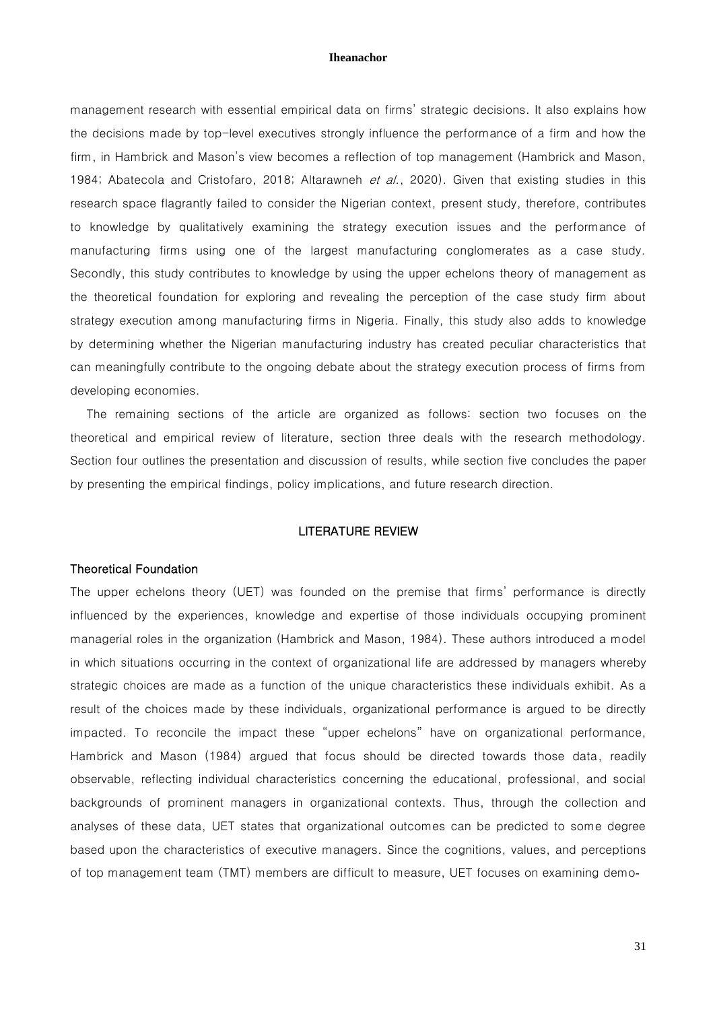management research with essential empirical data on firms' strategic decisions. It also explains how the decisions made by top-level executives strongly influence the performance of a firm and how the firm, in Hambrick and Mason's view becomes a reflection of top management (Hambrick and Mason, 1984; Abatecola and Cristofaro, 2018; Altarawneh et al., 2020). Given that existing studies in this research space flagrantly failed to consider the Nigerian context, present study, therefore, contributes to knowledge by qualitatively examining the strategy execution issues and the performance of manufacturing firms using one of the largest manufacturing conglomerates as a case study. Secondly, this study contributes to knowledge by using the upper echelons theory of management as the theoretical foundation for exploring and revealing the perception of the case study firm about strategy execution among manufacturing firms in Nigeria. Finally, this study also adds to knowledge by determining whether the Nigerian manufacturing industry has created peculiar characteristics that can meaningfully contribute to the ongoing debate about the strategy execution process of firms from developing economies.

The remaining sections of the article are organized as follows: section two focuses on the theoretical and empirical review of literature, section three deals with the research methodology. Section four outlines the presentation and discussion of results, while section five concludes the paper by presenting the empirical findings, policy implications, and future research direction.

# LITERATURE REVIEW

# Theoretical Foundation

The upper echelons theory (UET) was founded on the premise that firms' performance is directly influenced by the experiences, knowledge and expertise of those individuals occupying prominent managerial roles in the organization (Hambrick and Mason, 1984). These authors introduced a model in which situations occurring in the context of organizational life are addressed by managers whereby strategic choices are made as a function of the unique characteristics these individuals exhibit. As a result of the choices made by these individuals, organizational performance is argued to be directly impacted. To reconcile the impact these "upper echelons" have on organizational performance, Hambrick and Mason (1984) argued that focus should be directed towards those data, readily observable, reflecting individual characteristics concerning the educational, professional, and social backgrounds of prominent managers in organizational contexts. Thus, through the collection and analyses of these data, UET states that organizational outcomes can be predicted to some degree based upon the characteristics of executive managers. Since the cognitions, values, and perceptions of top management team (TMT) members are difficult to measure, UET focuses on examining demo-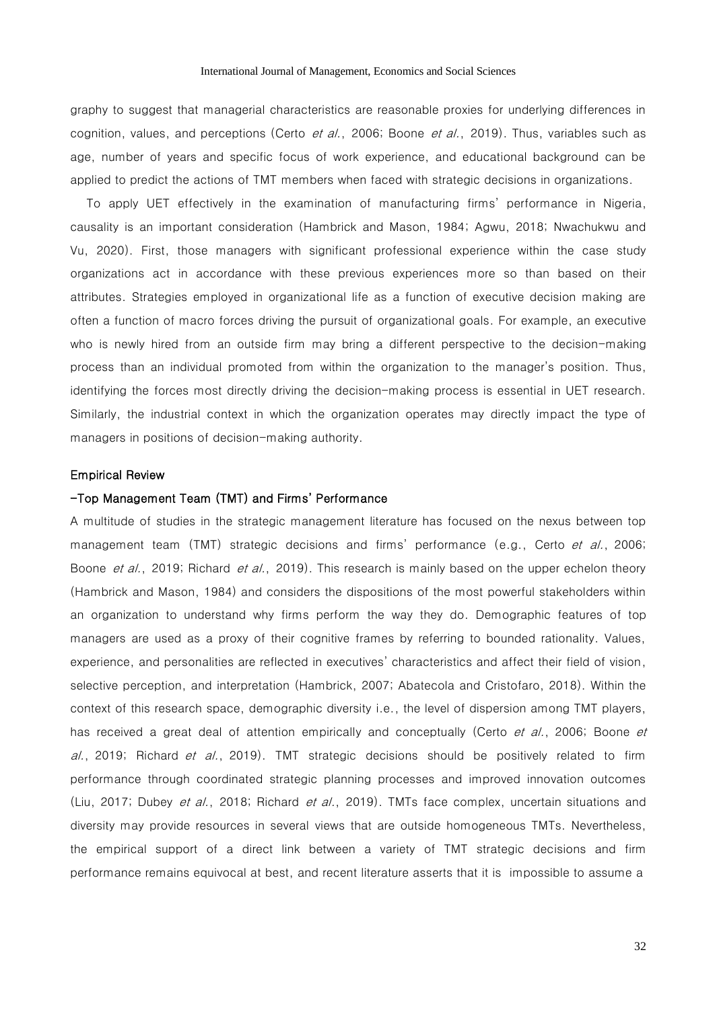graphy to suggest that managerial characteristics are reasonable proxies for underlying differences in cognition, values, and perceptions (Certo et al., 2006; Boone et al., 2019). Thus, variables such as age, number of years and specific focus of work experience, and educational background can be applied to predict the actions of TMT members when faced with strategic decisions in organizations.

To apply UET effectively in the examination of manufacturing firms' performance in Nigeria, causality is an important consideration (Hambrick and Mason, 1984; Agwu, 2018; Nwachukwu and Vu, 2020). First, those managers with significant professional experience within the case study organizations act in accordance with these previous experiences more so than based on their attributes. Strategies employed in organizational life as a function of executive decision making are often a function of macro forces driving the pursuit of organizational goals. For example, an executive who is newly hired from an outside firm may bring a different perspective to the decision-making process than an individual promoted from within the organization to the manager's position. Thus, identifying the forces most directly driving the decision-making process is essential in UET research. Similarly, the industrial context in which the organization operates may directly impact the type of managers in positions of decision-making authority.

# Empirical Review

# -Top Management Team (TMT) and Firms' Performance

A multitude of studies in the strategic management literature has focused on the nexus between top management team (TMT) strategic decisions and firms' performance (e.g., Certo et al., 2006; Boone *et al.*, 2019; Richard *et al.*, 2019). This research is mainly based on the upper echelon theory (Hambrick and Mason, 1984) and considers the dispositions of the most powerful stakeholders within an organization to understand why firms perform the way they do. Demographic features of top managers are used as a proxy of their cognitive frames by referring to bounded rationality. Values, experience, and personalities are reflected in executives' characteristics and affect their field of vision, selective perception, and interpretation (Hambrick, 2007; Abatecola and Cristofaro, 2018). Within the context of this research space, demographic diversity i.e., the level of dispersion among TMT players, has received a great deal of attention empirically and conceptually (Certo et al., 2006; Boone et al., 2019; Richard et al., 2019). TMT strategic decisions should be positively related to firm performance through coordinated strategic planning processes and improved innovation outcomes (Liu, 2017; Dubey et al., 2018; Richard et al., 2019). TMTs face complex, uncertain situations and diversity may provide resources in several views that are outside homogeneous TMTs. Nevertheless, the empirical support of a direct link between a variety of TMT strategic decisions and firm performance remains equivocal at best, and recent literature asserts that it is impossible to assume a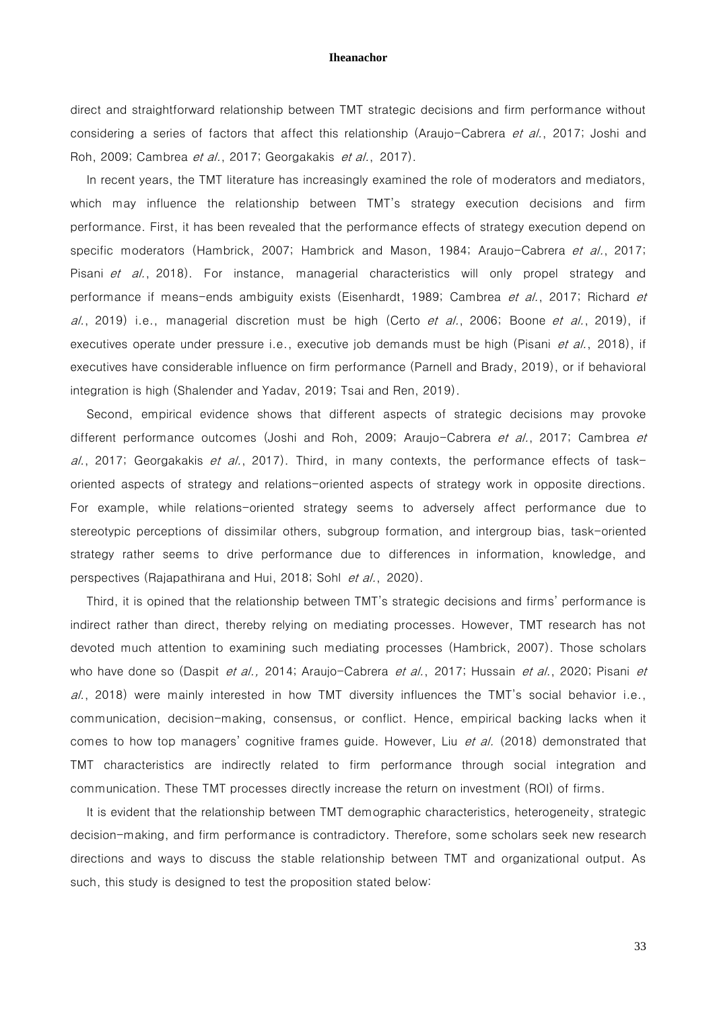direct and straightforward relationship between TMT strategic decisions and firm performance without considering a series of factors that affect this relationship (Araujo-Cabrera et al., 2017; Joshi and Roh, 2009; Cambrea et al., 2017; Georgakakis et al., 2017).

In recent years, the TMT literature has increasingly examined the role of moderators and mediators, which may influence the relationship between TMT's strategy execution decisions and firm performance. First, it has been revealed that the performance effects of strategy execution depend on specific moderators (Hambrick, 2007; Hambrick and Mason, 1984; Araujo-Cabrera et al., 2017; Pisani et al., 2018). For instance, managerial characteristics will only propel strategy and performance if means-ends ambiguity exists (Eisenhardt, 1989; Cambrea et al., 2017; Richard et  $a$ ., 2019) i.e., managerial discretion must be high (Certo *et al.*, 2006; Boone *et al.*, 2019), if executives operate under pressure i.e., executive job demands must be high (Pisani *et al.*, 2018), if executives have considerable influence on firm performance (Parnell and Brady, 2019), or if behavioral integration is high (Shalender and Yadav, 2019; Tsai and Ren, 2019).

Second, empirical evidence shows that different aspects of strategic decisions may provoke different performance outcomes (Joshi and Roh, 2009; Araujo-Cabrera et al., 2017; Cambrea et al., 2017; Georgakakis et al., 2017). Third, in many contexts, the performance effects of taskoriented aspects of strategy and relations-oriented aspects of strategy work in opposite directions. For example, while relations-oriented strategy seems to adversely affect performance due to stereotypic perceptions of dissimilar others, subgroup formation, and intergroup bias, task-oriented strategy rather seems to drive performance due to differences in information, knowledge, and perspectives (Rajapathirana and Hui, 2018; Sohl et al., 2020).

Third, it is opined that the relationship between TMT's strategic decisions and firms' performance is indirect rather than direct, thereby relying on mediating processes. However, TMT research has not devoted much attention to examining such mediating processes (Hambrick, 2007). Those scholars who have done so (Daspit *et al.,* 2014; Araujo-Cabrera *et al.*, 2017; Hussain *et al.*, 2020; Pisani *et*  $al.$ , 2018) were mainly interested in how TMT diversity influences the TMT's social behavior i.e., communication, decision-making, consensus, or conflict. Hence, empirical backing lacks when it comes to how top managers' cognitive frames guide. However, Liu et al. (2018) demonstrated that TMT characteristics are indirectly related to firm performance through social integration and communication. These TMT processes directly increase the return on investment (ROI) of firms.

It is evident that the relationship between TMT demographic characteristics, heterogeneity, strategic decision-making, and firm performance is contradictory. Therefore, some scholars seek new research directions and ways to discuss the stable relationship between TMT and organizational output. As such, this study is designed to test the proposition stated below: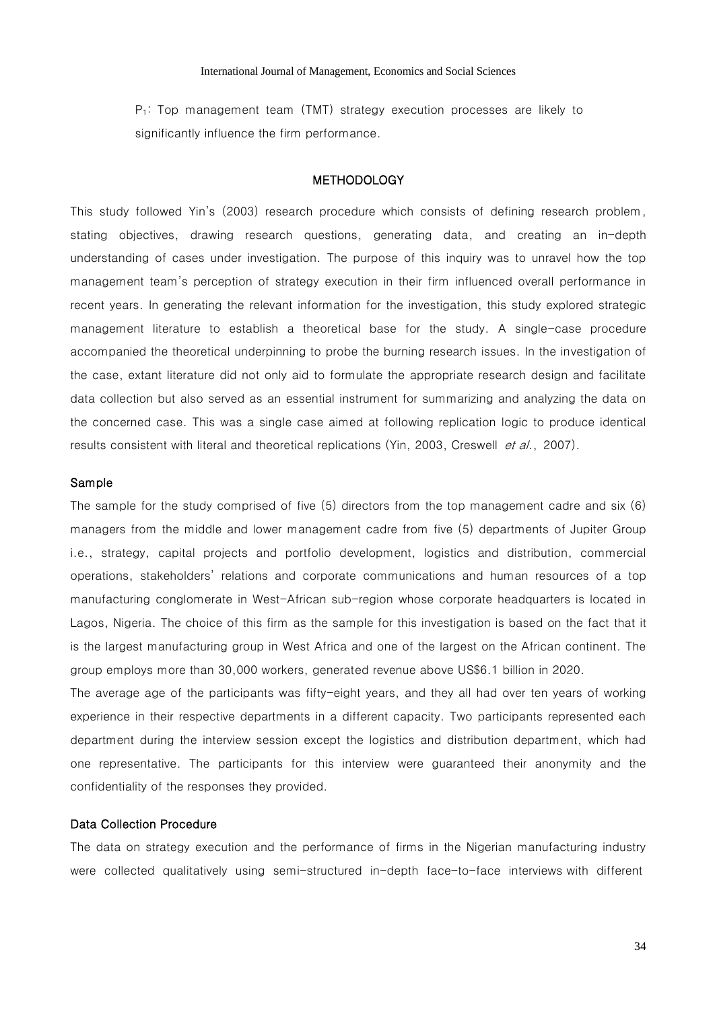$P_1$ : Top management team (TMT) strategy execution processes are likely to significantly influence the firm performance.

# **METHODOLOGY**

This study followed Yin's (2003) research procedure which consists of defining research problem, stating objectives, drawing research questions, generating data, and creating an in-depth understanding of cases under investigation. The purpose of this inquiry was to unravel how the top management team's perception of strategy execution in their firm influenced overall performance in recent years. In generating the relevant information for the investigation, this study explored strategic management literature to establish a theoretical base for the study. A single-case procedure accompanied the theoretical underpinning to probe the burning research issues. In the investigation of the case, extant literature did not only aid to formulate the appropriate research design and facilitate data collection but also served as an essential instrument for summarizing and analyzing the data on the concerned case. This was a single case aimed at following replication logic to produce identical results consistent with literal and theoretical replications (Yin, 2003, Creswell et al., 2007).

# Sample

The sample for the study comprised of five  $(5)$  directors from the top management cadre and six  $(6)$ managers from the middle and lower management cadre from five (5) departments of Jupiter Group i.e., strategy, capital projects and portfolio development, logistics and distribution, commercial operations, stakeholders' relations and corporate communications and human resources of a top manufacturing conglomerate in West-African sub-region whose corporate headquarters is located in Lagos, Nigeria. The choice of this firm as the sample for this investigation is based on the fact that it is the largest manufacturing group in West Africa and one of the largest on the African continent. The group employs more than 30,000 workers, generated revenue above US\$6.1 billion in 2020.

The average age of the participants was fifty-eight years, and they all had over ten years of working experience in their respective departments in a different capacity. Two participants represented each department during the interview session except the logistics and distribution department, which had one representative. The participants for this interview were guaranteed their anonymity and the confidentiality of the responses they provided.

# Data Collection Procedure

The data on strategy execution and the performance of firms in the Nigerian manufacturing industry were collected qualitatively using semi-structured in-depth face-to-face interviews with different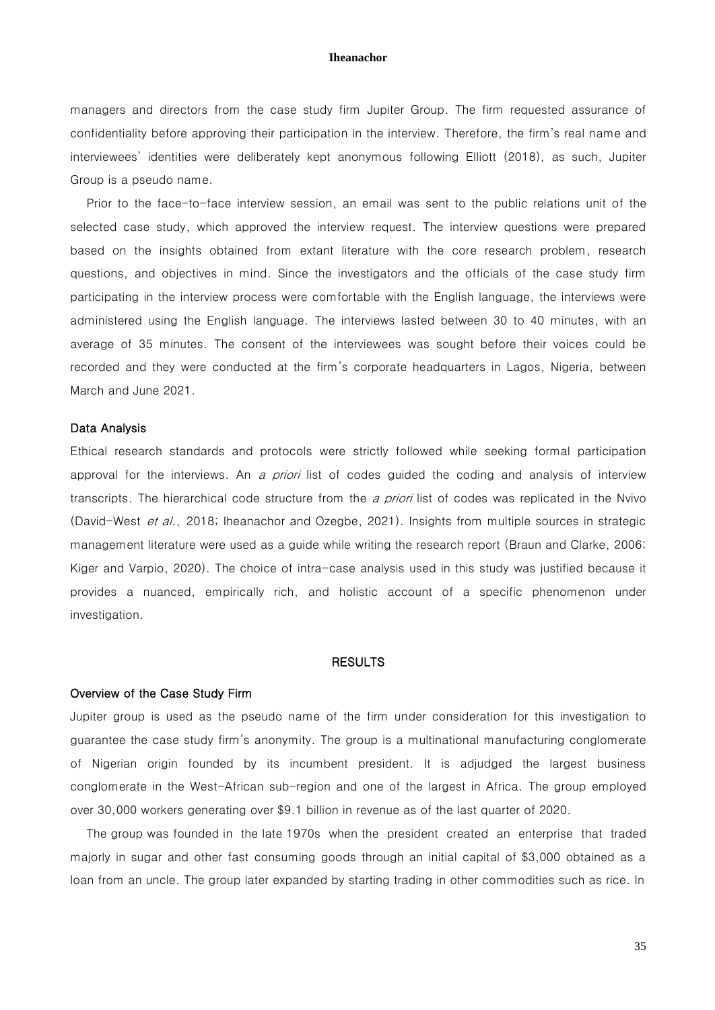managers and directors from the case study firm Jupiter Group. The firm requested assurance of confidentiality before approving their participation in the interview. Therefore, the firm's real name and interviewees' identities were deliberately kept anonymous following Elliott (2018), as such, Jupiter Group is a pseudo name.

Prior to the face-to-face interview session, an email was sent to the public relations unit of the selected case study, which approved the interview request. The interview questions were prepared based on the insights obtained from extant literature with the core research problem, research questions, and objectives in mind. Since the investigators and the officials of the case study firm participating in the interview process were comfortable with the English language, the interviews were administered using the English language. The interviews lasted between 30 to 40 minutes, with an average of 35 minutes. The consent of the interviewees was sought before their voices could be recorded and they were conducted at the firm's corporate headquarters in Lagos, Nigeria, between March and June 2021.

# Data Analysis

Ethical research standards and protocols were strictly followed while seeking formal participation approval for the interviews. An a priori list of codes guided the coding and analysis of interview transcripts. The hierarchical code structure from the *a priori* list of codes was replicated in the Nvivo (David-West et al., 2018; Iheanachor and Ozegbe, 2021). Insights from multiple sources in strategic management literature were used as a guide while writing the research report (Braun and Clarke, 2006; Kiger and Varpio, 2020). The choice of intra-case analysis used in this study was justified because it provides a nuanced, empirically rich, and holistic account of a specific phenomenon under investigation.

# RESULTS

#### Overview of the Case Study Firm

Jupiter group is used as the pseudo name of the firm under consideration for this investigation to guarantee the case study firm's anonymity. The group is a multinational manufacturing conglomerate of Nigerian origin founded by its incumbent president. It is adjudged the largest business conglomerate in the West-African sub-region and one of the largest in Africa. The group employed over 30,000 workers generating over \$9.1 billion in revenue as of the last quarter of 2020.

The group was founded in the late 1970s when the president created an enterprise that traded majorly in sugar and other fast consuming goods through an initial capital of \$3,000 obtained as a loan from an uncle. The group later expanded by starting trading in other commodities such as rice. In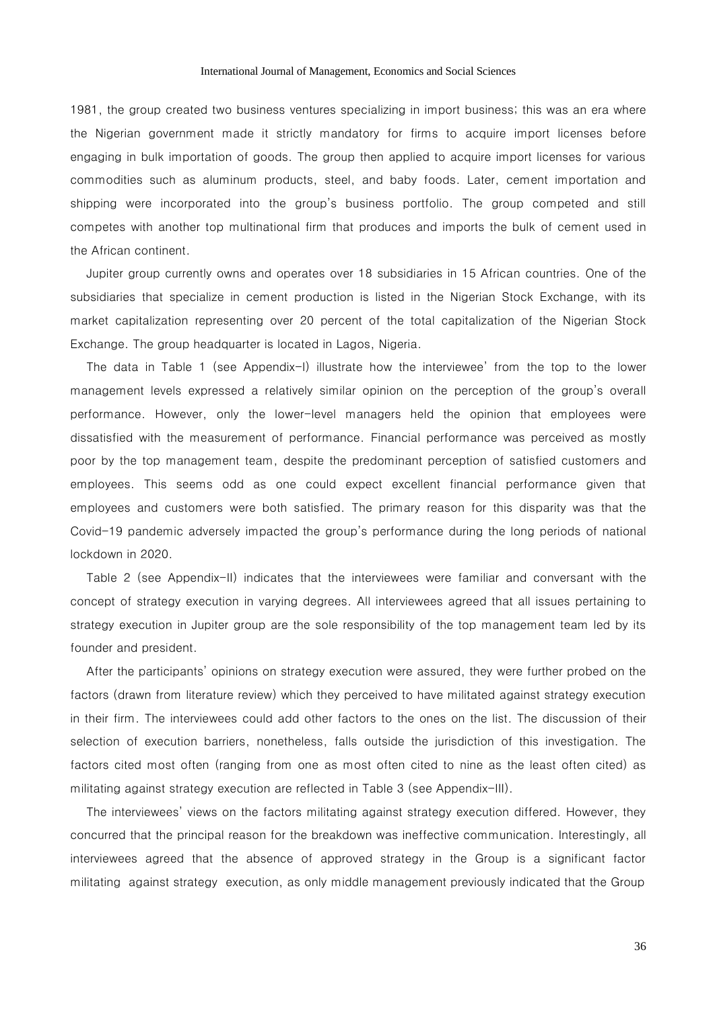1981, the group created two business ventures specializing in import business; this was an era where the Nigerian government made it strictly mandatory for firms to acquire import licenses before engaging in bulk importation of goods. The group then applied to acquire import licenses for various commodities such as aluminum products, steel, and baby foods. Later, cement importation and shipping were incorporated into the group's business portfolio. The group competed and still competes with another top multinational firm that produces and imports the bulk of cement used in the African continent.

Jupiter group currently owns and operates over 18 subsidiaries in 15 African countries. One of the subsidiaries that specialize in cement production is listed in the Nigerian Stock Exchange, with its market capitalization representing over 20 percent of the total capitalization of the Nigerian Stock Exchange. The group headquarter is located in Lagos, Nigeria.

The data in Table 1 (see Appendix-I) illustrate how the interviewee' from the top to the lower management levels expressed a relatively similar opinion on the perception of the group's overall performance. However, only the lower-level managers held the opinion that employees were dissatisfied with the measurement of performance. Financial performance was perceived as mostly poor by the top management team, despite the predominant perception of satisfied customers and employees. This seems odd as one could expect excellent financial performance given that employees and customers were both satisfied. The primary reason for this disparity was that the Covid-19 pandemic adversely impacted the group's performance during the long periods of national lockdown in 2020.

Table 2 (see Appendix-II) indicates that the interviewees were familiar and conversant with the concept of strategy execution in varying degrees. All interviewees agreed that all issues pertaining to strategy execution in Jupiter group are the sole responsibility of the top management team led by its founder and president.

After the participants' opinions on strategy execution were assured, they were further probed on the factors (drawn from literature review) which they perceived to have militated against strategy execution in their firm. The interviewees could add other factors to the ones on the list. The discussion of their selection of execution barriers, nonetheless, falls outside the jurisdiction of this investigation. The factors cited most often (ranging from one as most often cited to nine as the least often cited) as militating against strategy execution are reflected in Table 3 (see Appendix-III).

The interviewees' views on the factors militating against strategy execution differed. However, they concurred that the principal reason for the breakdown was ineffective communication. Interestingly, all interviewees agreed that the absence of approved strategy in the Group is a significant factor militating against strategy execution, as only middle management previously indicated that the Group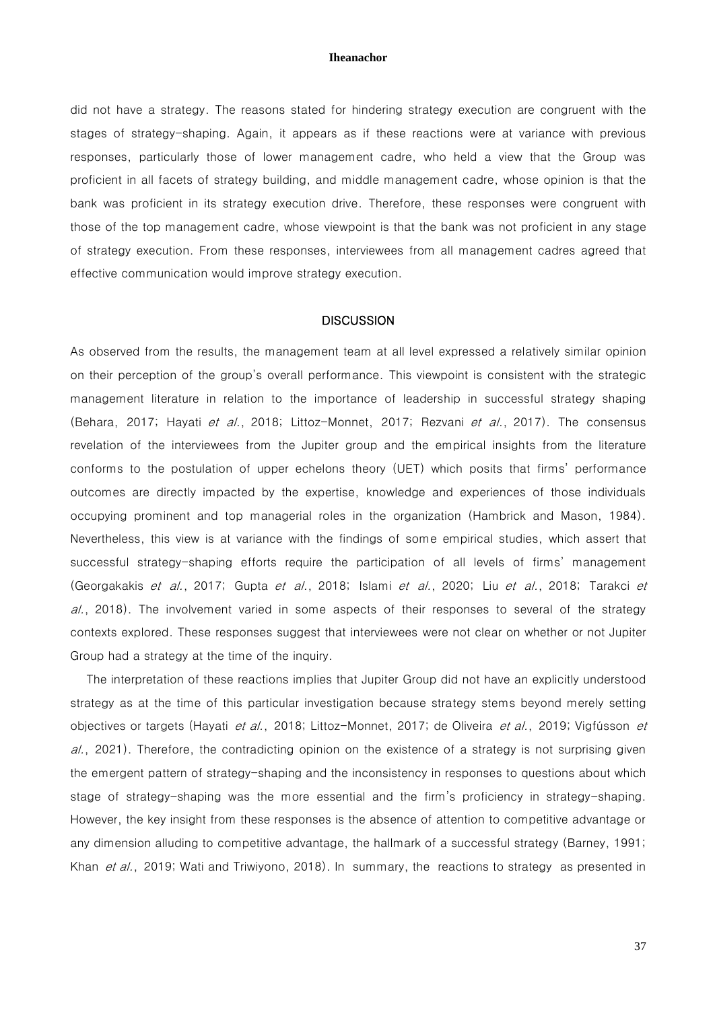did not have a strategy. The reasons stated for hindering strategy execution are congruent with the stages of strategy-shaping. Again, it appears as if these reactions were at variance with previous responses, particularly those of lower management cadre, who held a view that the Group was proficient in all facets of strategy building, and middle management cadre, whose opinion is that the bank was proficient in its strategy execution drive. Therefore, these responses were congruent with those of the top management cadre, whose viewpoint is that the bank was not proficient in any stage of strategy execution. From these responses, interviewees from all management cadres agreed that effective communication would improve strategy execution.

# **DISCUSSION**

As observed from the results, the management team at all level expressed a relatively similar opinion on their perception of the group's overall performance. This viewpoint is consistent with the strategic management literature in relation to the importance of leadership in successful strategy shaping (Behara, 2017; Hayati et al., 2018; Littoz-Monnet, 2017; Rezvani et al., 2017). The consensus revelation of the interviewees from the Jupiter group and the empirical insights from the literature conforms to the postulation of upper echelons theory (UET) which posits that firms' performance outcomes are directly impacted by the expertise, knowledge and experiences of those individuals occupying prominent and top managerial roles in the organization (Hambrick and Mason, 1984). Nevertheless, this view is at variance with the findings of some empirical studies, which assert that successful strategy-shaping efforts require the participation of all levels of firms' management (Georgakakis et al., 2017; Gupta et al., 2018; Islami et al., 2020; Liu et al., 2018; Tarakci et  $al.$ , 2018). The involvement varied in some aspects of their responses to several of the strategy contexts explored. These responses suggest that interviewees were not clear on whether or not Jupiter Group had a strategy at the time of the inquiry.

The interpretation of these reactions implies that Jupiter Group did not have an explicitly understood strategy as at the time of this particular investigation because strategy stems beyond merely setting objectives or targets (Hayati et al., 2018; Littoz-Monnet, 2017; de Oliveira et al., 2019; Vigfússon et  $al.$ , 2021). Therefore, the contradicting opinion on the existence of a strategy is not surprising given the emergent pattern of strategy-shaping and the inconsistency in responses to questions about which stage of strategy-shaping was the more essential and the firm's proficiency in strategy-shaping. However, the key insight from these responses is the absence of attention to competitive advantage or any dimension alluding to competitive advantage, the hallmark of a successful strategy (Barney, 1991; Khan et al., 2019; Wati and Triwiyono, 2018). In summary, the reactions to strategy as presented in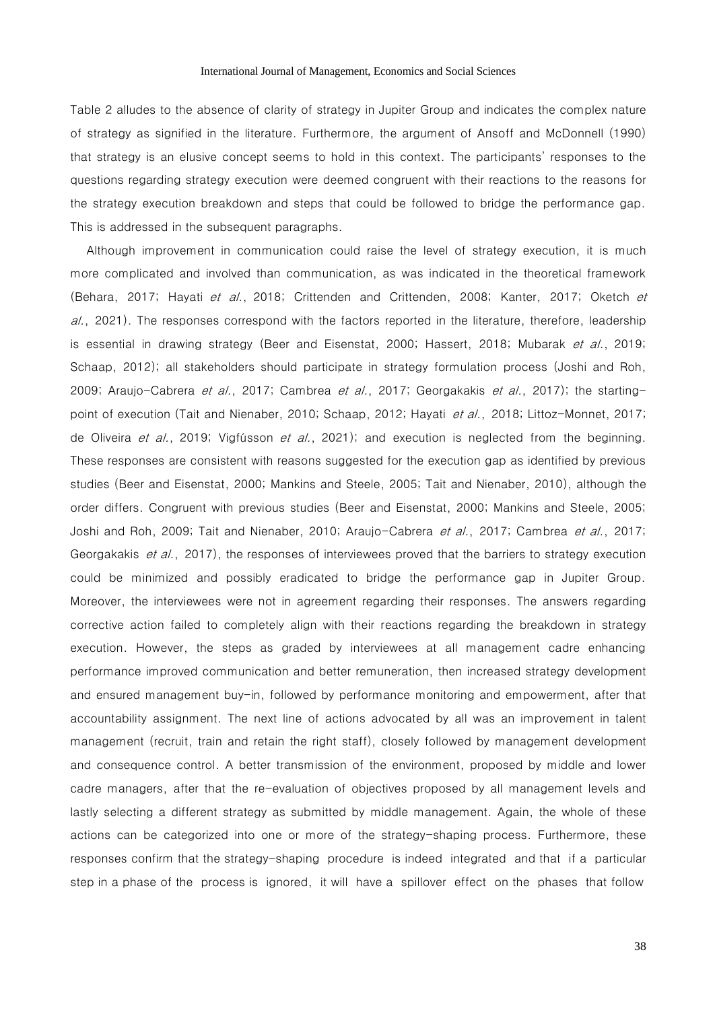Table 2 alludes to the absence of clarity of strategy in Jupiter Group and indicates the complex nature of strategy as signified in the literature. Furthermore, the argument of Ansoff and McDonnell (1990) that strategy is an elusive concept seems to hold in this context. The participants' responses to the questions regarding strategy execution were deemed congruent with their reactions to the reasons for the strategy execution breakdown and steps that could be followed to bridge the performance gap. This is addressed in the subsequent paragraphs.

Although improvement in communication could raise the level of strategy execution, it is much more complicated and involved than communication, as was indicated in the theoretical framework (Behara, 2017; Hayati et al., 2018; Crittenden and Crittenden, 2008; Kanter, 2017; Oketch et al., 2021). The responses correspond with the factors reported in the literature, therefore, leadership is essential in drawing strategy (Beer and Eisenstat, 2000; Hassert, 2018; Mubarak et al., 2019; Schaap, 2012); all stakeholders should participate in strategy formulation process (Joshi and Roh, 2009; Araujo-Cabrera et al., 2017; Cambrea et al., 2017; Georgakakis et al., 2017); the startingpoint of execution (Tait and Nienaber, 2010; Schaap, 2012; Hayati et al., 2018; Littoz-Monnet, 2017; de Oliveira et al., 2019; Vigfússon et al., 2021); and execution is neglected from the beginning. These responses are consistent with reasons suggested for the execution gap as identified by previous studies (Beer and Eisenstat, 2000; Mankins and Steele, 2005; Tait and Nienaber, 2010), although the order differs. Congruent with previous studies (Beer and Eisenstat, 2000; Mankins and Steele, 2005; Joshi and Roh, 2009; Tait and Nienaber, 2010; Araujo-Cabrera et al., 2017; Cambrea et al., 2017; Georgakakis et al., 2017), the responses of interviewees proved that the barriers to strategy execution could be minimized and possibly eradicated to bridge the performance gap in Jupiter Group. Moreover, the interviewees were not in agreement regarding their responses. The answers regarding corrective action failed to completely align with their reactions regarding the breakdown in strategy execution. However, the steps as graded by interviewees at all management cadre enhancing performance improved communication and better remuneration, then increased strategy development and ensured management buy-in, followed by performance monitoring and empowerment, after that accountability assignment. The next line of actions advocated by all was an improvement in talent management (recruit, train and retain the right staff), closely followed by management development and consequence control. A better transmission of the environment, proposed by middle and lower cadre managers, after that the re-evaluation of objectives proposed by all management levels and lastly selecting a different strategy as submitted by middle management. Again, the whole of these actions can be categorized into one or more of the strategy-shaping process. Furthermore, these responses confirm that the strategy-shaping procedure is indeed integrated and that if a particular step in a phase of the process is ignored, it will have a spillover effect on the phases that follow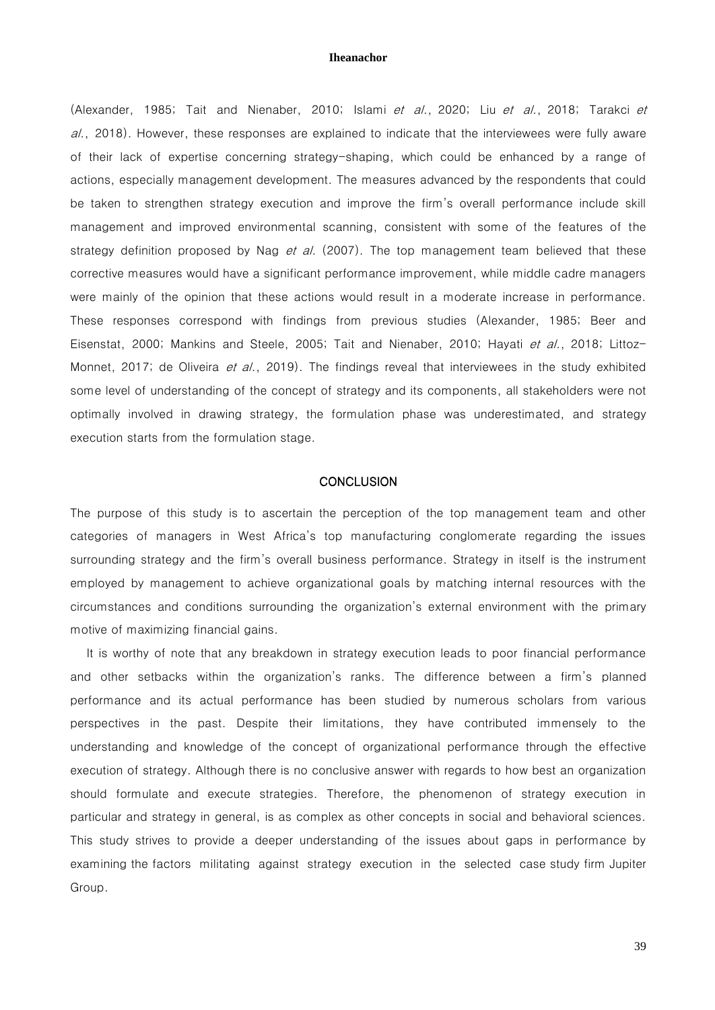(Alexander, 1985; Tait and Nienaber, 2010; Islami et al., 2020; Liu et al., 2018; Tarakci et al., 2018). However, these responses are explained to indicate that the interviewees were fully aware of their lack of expertise concerning strategy-shaping, which could be enhanced by a range of actions, especially management development. The measures advanced by the respondents that could be taken to strengthen strategy execution and improve the firm's overall performance include skill management and improved environmental scanning, consistent with some of the features of the strategy definition proposed by Nag *et al.* (2007). The top management team believed that these corrective measures would have a significant performance improvement, while middle cadre managers were mainly of the opinion that these actions would result in a moderate increase in performance. These responses correspond with findings from previous studies (Alexander, 1985; Beer and Eisenstat, 2000; Mankins and Steele, 2005; Tait and Nienaber, 2010; Hayati et al., 2018; Littoz-Monnet, 2017; de Oliveira et al., 2019). The findings reveal that interviewees in the study exhibited some level of understanding of the concept of strategy and its components, all stakeholders were not optimally involved in drawing strategy, the formulation phase was underestimated, and strategy execution starts from the formulation stage.

# **CONCLUSION**

The purpose of this study is to ascertain the perception of the top management team and other categories of managers in West Africa's top manufacturing conglomerate regarding the issues surrounding strategy and the firm's overall business performance. Strategy in itself is the instrument employed by management to achieve organizational goals by matching internal resources with the circumstances and conditions surrounding the organization's external environment with the primary motive of maximizing financial gains.

It is worthy of note that any breakdown in strategy execution leads to poor financial performance and other setbacks within the organization's ranks. The difference between a firm's planned performance and its actual performance has been studied by numerous scholars from various perspectives in the past. Despite their limitations, they have contributed immensely to the understanding and knowledge of the concept of organizational performance through the effective execution of strategy. Although there is no conclusive answer with regards to how best an organization should formulate and execute strategies. Therefore, the phenomenon of strategy execution in particular and strategy in general, is as complex as other concepts in social and behavioral sciences. This study strives to provide a deeper understanding of the issues about gaps in performance by examining the factors militating against strategy execution in the selected case study firm Jupiter Group.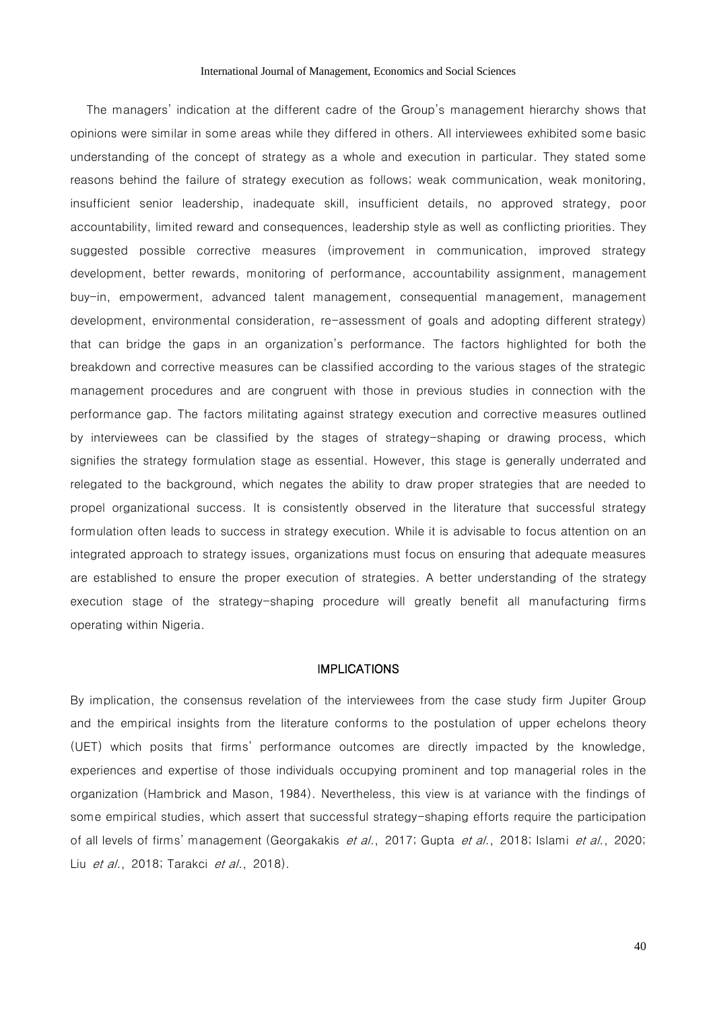The managers' indication at the different cadre of the Group's management hierarchy shows that opinions were similar in some areas while they differed in others. All interviewees exhibited some basic understanding of the concept of strategy as a whole and execution in particular. They stated some reasons behind the failure of strategy execution as follows; weak communication, weak monitoring, insufficient senior leadership, inadequate skill, insufficient details, no approved strategy, poor accountability, limited reward and consequences, leadership style as well as conflicting priorities. They suggested possible corrective measures (improvement in communication, improved strategy development, better rewards, monitoring of performance, accountability assignment, management buy-in, empowerment, advanced talent management, consequential management, management development, environmental consideration, re-assessment of goals and adopting different strategy) that can bridge the gaps in an organization's performance. The factors highlighted for both the breakdown and corrective measures can be classified according to the various stages of the strategic management procedures and are congruent with those in previous studies in connection with the performance gap. The factors militating against strategy execution and corrective measures outlined by interviewees can be classified by the stages of strategy-shaping or drawing process, which signifies the strategy formulation stage as essential. However, this stage is generally underrated and relegated to the background, which negates the ability to draw proper strategies that are needed to propel organizational success. It is consistently observed in the literature that successful strategy formulation often leads to success in strategy execution. While it is advisable to focus attention on an integrated approach to strategy issues, organizations must focus on ensuring that adequate measures are established to ensure the proper execution of strategies. A better understanding of the strategy execution stage of the strategy-shaping procedure will greatly benefit all manufacturing firms operating within Nigeria.

# IMPLICATIONS

By implication, the consensus revelation of the interviewees from the case study firm Jupiter Group and the empirical insights from the literature conforms to the postulation of upper echelons theory (UET) which posits that firms' performance outcomes are directly impacted by the knowledge, experiences and expertise of those individuals occupying prominent and top managerial roles in the organization (Hambrick and Mason, 1984). Nevertheless, this view is at variance with the findings of some empirical studies, which assert that successful strategy-shaping efforts require the participation of all levels of firms' management (Georgakakis et al., 2017; Gupta et al., 2018; Islami et al., 2020; Liu *et al.*, 2018; Tarakci *et al.*, 2018).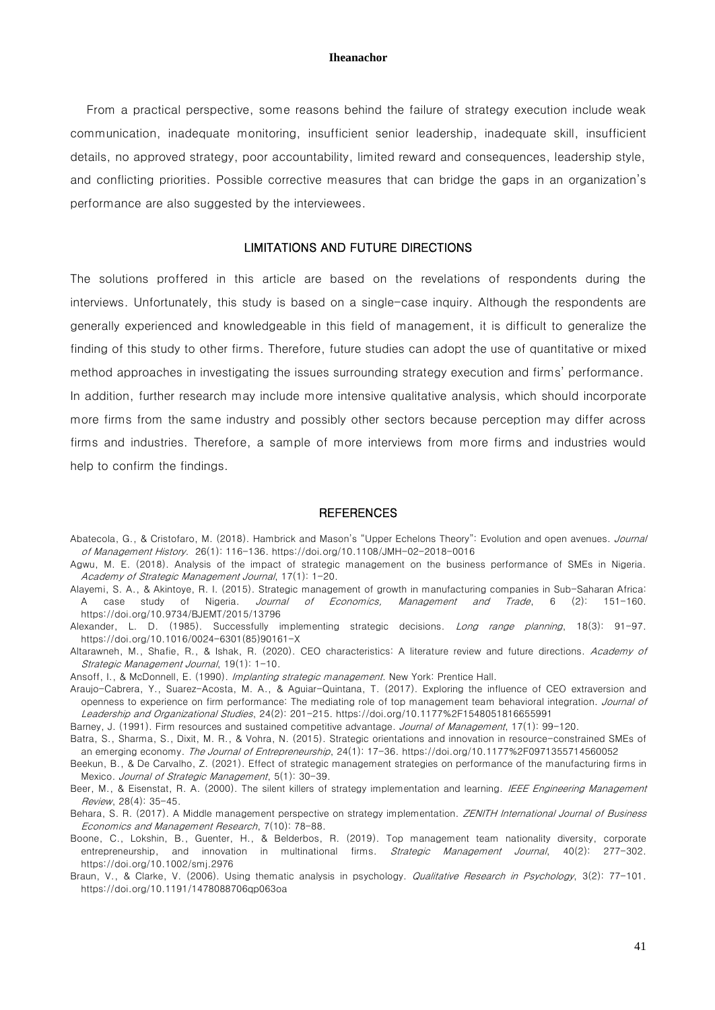From a practical perspective, some reasons behind the failure of strategy execution include weak communication, inadequate monitoring, insufficient senior leadership, inadequate skill, insufficient details, no approved strategy, poor accountability, limited reward and consequences, leadership style, and conflicting priorities. Possible corrective measures that can bridge the gaps in an organization's performance are also suggested by the interviewees.

# LIMITATIONS AND FUTURE DIRECTIONS

The solutions proffered in this article are based on the revelations of respondents during the interviews. Unfortunately, this study is based on a single-case inquiry. Although the respondents are generally experienced and knowledgeable in this field of management, it is difficult to generalize the finding of this study to other firms. Therefore, future studies can adopt the use of quantitative or mixed method approaches in investigating the issues surrounding strategy execution and firms' performance. In addition, further research may include more intensive qualitative analysis, which should incorporate more firms from the same industry and possibly other sectors because perception may differ across firms and industries. Therefore, a sample of more interviews from more firms and industries would help to confirm the findings.

### **REFERENCES**

- Abatecola, G., & Cristofaro, M. (2018). Hambrick and Mason's "Upper Echelons Theory": Evolution and open avenues. Journal of Management History. 26(1): 116-136[. https://doi.org/10.1108/JMH-02-2018-0016](https://doi.org/10.1108/JMH-02-2018-0016)
- Agwu, M. E. (2018). Analysis of the impact of strategic management on the business performance of SMEs in Nigeria. Academy of Strategic Management Journal, 17(1): 1-20.
- Alayemi, S. A., & Akintoye, R. I. (2015). Strategic management of growth in manufacturing companies in Sub-Saharan Africa: A case study of Nigeria. Journal of Economics, Management and Trade, 6 (2): 151-160. <https://doi.org/10.9734/BJEMT/2015/13796>
- Alexander, L. D. (1985). Successfully implementing strategic decisions. Long range planning, 18(3): 91-97. [https://doi.org/10.1016/0024-6301\(85\)90161-X](https://doi.org/10.1016/0024-6301(85)90161-X)
- Altarawneh, M., Shafie, R., & Ishak, R. (2020). CEO characteristics: A literature review and future directions. Academy of Strategic Management Journal, 19(1): 1-10.
- Ansoff, I., & McDonnell, E. (1990). Implanting strategic management. New York: Prentice Hall.
- Araujo-Cabrera, Y., Suarez-Acosta, M. A., & Aguiar-Quintana, T. (2017). Exploring the influence of CEO extraversion and openness to experience on firm performance: The mediating role of top management team behavioral integration. Journal of Leadership and Organizational Studies, 24(2): 201-215.<https://doi.org/10.1177%2F1548051816655991>
- Barney, J. (1991). Firm resources and sustained competitive advantage. Journal of Management, 17(1): 99-120.
- Batra, S., Sharma, S., Dixit, M. R., & Vohra, N. (2015). Strategic orientations and innovation in resource-constrained SMEs of an emerging economy. The Journal of Entrepreneurship, 24(1): 17-36. <https://doi.org/10.1177%2F0971355714560052>
- Beekun, B., & De Carvalho, Z. (2021). Effect of strategic management strategies on performance of the manufacturing firms in Mexico. Journal of Strategic Management, 5(1): 30-39.
- Beer, M., & Eisenstat, R. A. (2000). The silent killers of strategy implementation and learning. IEEE Engineering Management Review, 28(4): 35-45.
- Behara, S. R. (2017). A Middle management perspective on strategy implementation. ZENITH International Journal of Business Economics and Management Research, 7(10): 78-88.
- Boone, C., Lokshin, B., Guenter, H., & Belderbos, R. (2019). Top management team nationality diversity, corporate entrepreneurship, and innovation in multinational firms. Strategic Management Journal, 40(2): 277-302. <https://doi.org/10.1002/smj.2976>
- Braun, V., & Clarke, V. (2006). Using thematic analysis in psychology. Qualitative Research in Psychology, 3(2): 77-101. <https://doi.org/10.1191/1478088706qp063oa>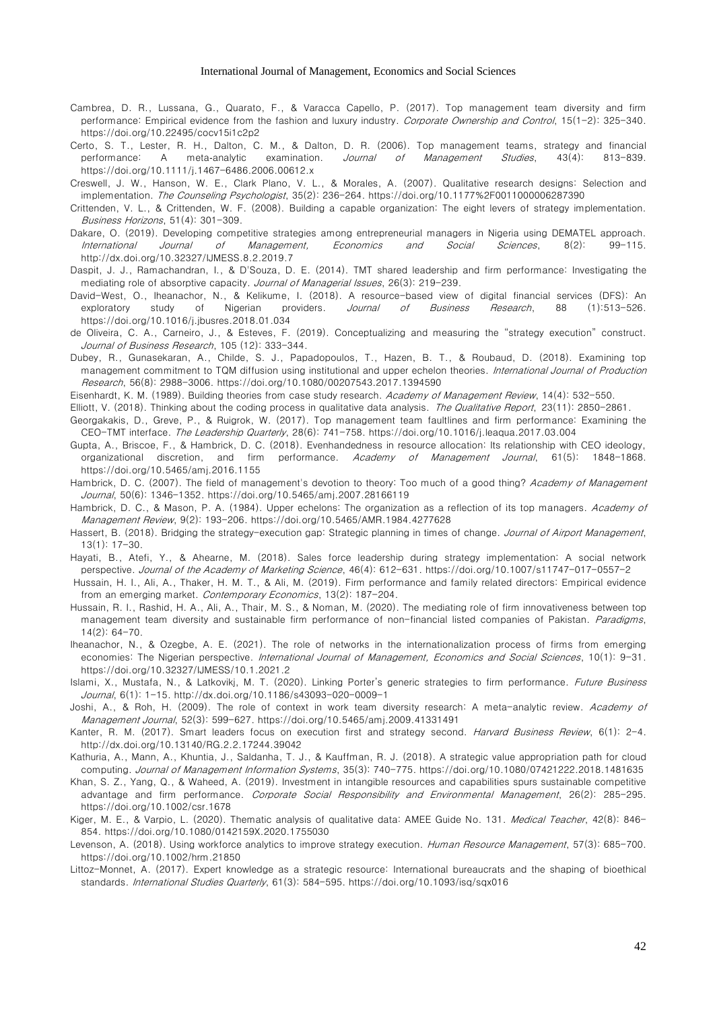- Cambrea, D. R., Lussana, G., Quarato, F., & Varacca Capello, P. (2017). Top management team diversity and firm performance: Empirical evidence from the fashion and luxury industry. Corporate Ownership and Control, 15(1-2): 325-340. <https://doi.org/10.22495/cocv15i1c2p2>
- Certo, S. T., Lester, R. H., Dalton, C. M., & Dalton, D. R. (2006). Top management teams, strategy and financial performance: A meta-analytic examination. *Journal of Management Studies*, 43(4): 813-839. <https://doi.org/10.1111/j.1467-6486.2006.00612.x>
- Creswell, J. W., Hanson, W. E., Clark Plano, V. L., & Morales, A. (2007). Qualitative research designs: Selection and implementation. The Counseling Psychologist, 35(2): 236-264. <https://doi.org/10.1177%2F0011000006287390>
- Crittenden, V. L., & Crittenden, W. F. (2008). Building a capable organization: The eight levers of strategy implementation. Business Horizons, 51(4): 301-309.
- Dakare, O. (2019). Developing competitive strategies among entrepreneurial managers in Nigeria using DEMATEL approach. International Journal of Management, Economics and Social Sciences, 8(2): 99-115. <http://dx.doi.org/10.32327/IJMESS.8.2.2019.7>
- Daspit, J. J., Ramachandran, I., & D'Souza, D. E. (2014). TMT shared leadership and firm performance: Investigating the mediating role of absorptive capacity. Journal of Managerial Issues, 26(3): 219-239.
- David-West, O., Iheanachor, N., & Kelikume, I. (2018). A resource-based view of digital financial services (DFS): An exploratory study of Nigerian providers. Journal of Business Research, 88 (1):513-526. <https://doi.org/10.1016/j.jbusres.2018.01.034>
- de Oliveira, C. A., Carneiro, J., & Esteves, F. (2019). Conceptualizing and measuring the "strategy execution" construct. Journal of Business Research, 105 (12): 333-344.
- Dubey, R., Gunasekaran, A., Childe, S. J., Papadopoulos, T., Hazen, B. T., & Roubaud, D. (2018). Examining top management commitment to TQM diffusion using institutional and upper echelon theories. International Journal of Production Research, 56(8): 2988-3006.<https://doi.org/10.1080/00207543.2017.1394590>
- Eisenhardt, K. M. (1989). Building theories from case study research. Academy of Management Review, 14(4): 532-550.
- Elliott, V. (2018). Thinking about the coding process in qualitative data analysis. The Qualitative Report, 23(11): 2850-2861.
- Georgakakis, D., Greve, P., & Ruigrok, W. (2017). Top management team faultlines and firm performance: Examining the CEO-TMT interface. The Leadership Quarterly, 28(6): 741-758. <https://doi.org/10.1016/j.leaqua.2017.03.004>
- Gupta, A., Briscoe, F., & Hambrick, D. C. (2018). Evenhandedness in resource allocation: Its relationship with CEO ideology, organizational discretion, and firm performance. Academy of Management Journal, 61(5): 1848-1868. <https://doi.org/10.5465/amj.2016.1155>
- Hambrick, D. C. (2007). The field of management's devotion to theory: Too much of a good thing? Academy of Management Journal, 50(6): 1346-1352. <https://doi.org/10.5465/amj.2007.28166119>
- Hambrick, D. C., & Mason, P. A. (1984). Upper echelons: The organization as a reflection of its top managers. Academy of Management Review, 9(2): 193-206. <https://doi.org/10.5465/AMR.1984.4277628>
- Hassert, B. (2018). Bridging the strategy-execution gap: Strategic planning in times of change. Journal of Airport Management, 13(1): 17-30.
- Hayati, B., Atefi, Y., & Ahearne, M. (2018). Sales force leadership during strategy implementation: A social network perspective. Journal of the Academy of Marketing Science, 46(4): 612-631. <https://doi.org/10.1007/s11747-017-0557-2>
- Hussain, H. I., Ali, A., Thaker, H. M. T., & Ali, M. (2019). Firm performance and family related directors: Empirical evidence from an emerging market. Contemporary Economics, 13(2): 187-204.
- Hussain, R. I., Rashid, H. A., Ali, A., Thair, M. S., & Noman, M. (2020). The mediating role of firm innovativeness between top management team diversity and sustainable firm performance of non-financial listed companies of Pakistan. Paradigms, 14(2): 64-70.
- Iheanachor, N., & Ozegbe, A. E. (2021). The role of networks in the internationalization process of firms from emerging economies: The Nigerian perspective. International Journal of Management, Economics and Social Sciences, 10(1): 9-31. <https://doi.org/10.32327/IJMESS/10.1.2021.2>
- Islami, X., Mustafa, N., & Latkovikj, M. T. (2020). Linking Porter's generic strategies to firm performance. Future Business Journal, 6(1): 1-15. <http://dx.doi.org/10.1186/s43093-020-0009-1>
- Joshi, A., & Roh, H. (2009). The role of context in work team diversity research: A meta-analytic review. Academy of Management Journal, 52(3): 599-627. <https://doi.org/10.5465/amj.2009.41331491>
- Kanter, R. M. (2017). Smart leaders focus on execution first and strategy second. Harvard Business Review, 6(1): 2-4. <http://dx.doi.org/10.13140/RG.2.2.17244.39042>
- Kathuria, A., Mann, A., Khuntia, J., Saldanha, T. J., & Kauffman, R. J. (2018). A strategic value appropriation path for cloud computing. Journal of Management Information Systems, 35(3): 740-775. <https://doi.org/10.1080/07421222.2018.1481635>
- Khan, S. Z., Yang, Q., & Waheed, A. (2019). Investment in intangible resources and capabilities spurs sustainable competitive advantage and firm performance. Corporate Social Responsibility and Environmental Management, 26(2): 285-295. <https://doi.org/10.1002/csr.1678>
- Kiger, M. E., & Varpio, L. (2020). Thematic analysis of qualitative data: AMEE Guide No. 131. Medical Teacher, 42(8): 846-854. <https://doi.org/10.1080/0142159X.2020.1755030>
- Levenson, A. (2018). Using workforce analytics to improve strategy execution. Human Resource Management, 57(3): 685-700. <https://doi.org/10.1002/hrm.21850>
- Littoz-Monnet, A. (2017). Expert knowledge as a strategic resource: International bureaucrats and the shaping of bioethical standards. International Studies Quarterly, 61(3): 584-595. <https://doi.org/10.1093/isq/sqx016>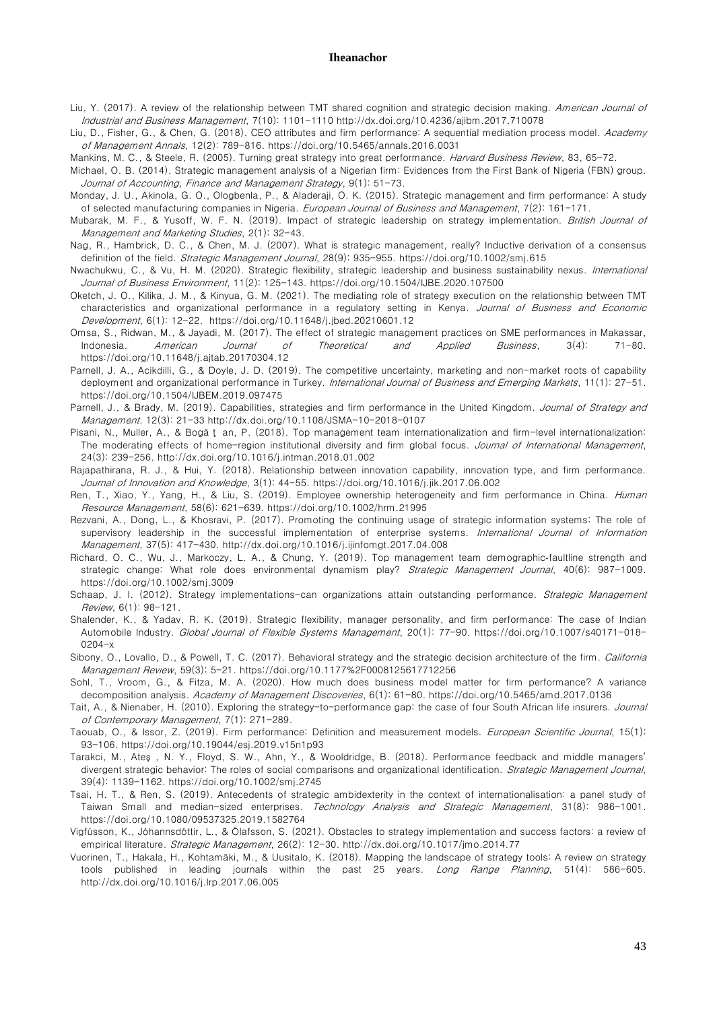- Liu, Y. (2017). A review of the relationship between TMT shared cognition and strategic decision making. American Journal of Industrial and Business Management, 7(10): 1101-1110 <http://dx.doi.org/10.4236/ajibm.2017.710078>
- Liu, D., Fisher, G., & Chen, G. (2018). CEO attributes and firm performance: A sequential mediation process model. Academy of Management Annals, 12(2): 789-816. <https://doi.org/10.5465/annals.2016.0031>
- Mankins, M. C., & Steele, R. (2005). Turning great strategy into great performance. Harvard Business Review, 83, 65-72.
- Michael, O. B. (2014). Strategic management analysis of a Nigerian firm: Evidences from the First Bank of Nigeria (FBN) group. Journal of Accounting, Finance and Management Strategy, 9(1): 51-73.
- Monday, J. U., Akinola, G. O., Ologbenla, P., & Aladeraji, O. K. (2015). Strategic management and firm performance: A study of selected manufacturing companies in Nigeria. European Journal of Business and Management, 7(2): 161-171.
- Mubarak, M. F., & Yusoff, W. F. N. (2019). Impact of strategic leadership on strategy implementation. British Journal of Management and Marketing Studies, 2(1): 32-43.
- Nag, R., Hambrick, D. C., & Chen, M. J. (2007). What is strategic management, really? Inductive derivation of a consensus definition of the field. Strategic Management Journal, 28(9): 935-955. <https://doi.org/10.1002/smj.615>
- Nwachukwu, C., & Vu, H. M. (2020). Strategic flexibility, strategic leadership and business sustainability nexus. International Journal of Business Environment, 11(2): 125-143. <https://doi.org/10.1504/IJBE.2020.107500>
- Oketch, J. O., Kilika, J. M., & Kinyua, G. M. (2021). The mediating role of strategy execution on the relationship between TMT characteristics and organizational performance in a regulatory setting in Kenya. Journal of Business and Economic Development, 6(1): 12-22.<https://doi.org/10.11648/j.jbed.20210601.12>
- Omsa, S., Ridwan, M., & Jayadi, M. (2017). The effect of strategic management practices on SME performances in Makassar, Indonesia. American Journal of Theoretical and Applied Business, 3(4): 71-80. <https://doi.org/10.11648/j.ajtab.20170304.12>
- Parnell, J. A., Acikdilli, G., & Doyle, J. D. (2019). The competitive uncertainty, marketing and non-market roots of capability deployment and organizational performance in Turkey. International Journal of Business and Emerging Markets, 11(1): 27-51. <https://doi.org/10.1504/IJBEM.2019.097475>
- Parnell, J., & Brady, M. (2019). Capabilities, strategies and firm performance in the United Kingdom. Journal of Strategy and Management. 12(3): 21-33 <http://dx.doi.org/10.1108/JSMA-10-2018-0107>
- Pisani, N., Muller, A., & Bogă ţ an, P. (2018). Top management team internationalization and firm-level internationalization: The moderating effects of home-region institutional diversity and firm global focus. Journal of International Management, 24(3): 239-256.<http://dx.doi.org/10.1016/j.intman.2018.01.002>
- Rajapathirana, R. J., & Hui, Y. (2018). Relationship between innovation capability, innovation type, and firm performance. Journal of Innovation and Knowledge, 3(1): 44-55. <https://doi.org/10.1016/j.jik.2017.06.002>
- Ren, T., Xiao, Y., Yang, H., & Liu, S. (2019). Employee ownership heterogeneity and firm performance in China. Human Resource Management, 58(6): 621-639. <https://doi.org/10.1002/hrm.21995>
- Rezvani, A., Dong, L., & Khosravi, P. (2017). Promoting the continuing usage of strategic information systems: The role of supervisory leadership in the successful implementation of enterprise systems. International Journal of Information Management, 37(5): 417-430. <http://dx.doi.org/10.1016/j.ijinfomgt.2017.04.008>
- Richard, O. C., Wu, J., Markoczy, L. A., & Chung, Y. (2019). Top management team demographic‐faultline strength and strategic change: What role does environmental dynamism play? Strategic Management Journal, 40(6): 987-1009. <https://doi.org/10.1002/smj.3009>
- Schaap, J. I. (2012). Strategy implementations-can organizations attain outstanding performance. Strategic Management Review, 6(1): 98-121.
- Shalender, K., & Yadav, R. K. (2019). Strategic flexibility, manager personality, and firm performance: The case of Indian Automobile Industry. Global Journal of Flexible Systems Management, 20(1): 77-90. [https://doi.org/10.1007/s40171-018-](https://doi.org/10.1007/s40171-018-0204-x) [0204-x](https://doi.org/10.1007/s40171-018-0204-x)
- Sibony, O., Lovallo, D., & Powell, T. C. (2017). Behavioral strategy and the strategic decision architecture of the firm. California Management Review, 59(3): 5-21. <https://doi.org/10.1177%2F0008125617712256>
- Sohl, T., Vroom, G., & Fitza, M. A. (2020). How much does business model matter for firm performance? A variance decomposition analysis. Academy of Management Discoveries, 6(1): 61-80. <https://doi.org/10.5465/amd.2017.0136>
- Tait, A., & Nienaber, H. (2010). Exploring the strategy-to-performance gap: the case of four South African life insurers. Journal of Contemporary Management, 7(1): 271-289.
- Taouab, O., & Issor, Z. (2019). Firm performance: Definition and measurement models. European Scientific Journal, 15(1): 93-106. <https://doi.org/10.19044/esj.2019.v15n1p93>
- Tarakci, M., Ateş , N. Y., Floyd, S. W., Ahn, Y., & Wooldridge, B. (2018). Performance feedback and middle managers' divergent strategic behavior: The roles of social comparisons and organizational identification. Strategic Management Journal, 39(4): 1139-1162. <https://doi.org/10.1002/smj.2745>
- Tsai, H. T., & Ren, S. (2019). Antecedents of strategic ambidexterity in the context of internationalisation: a panel study of Taiwan Small and median-sized enterprises. Technology Analysis and Strategic Management, 31(8): 986-1001. <https://doi.org/10.1080/09537325.2019.1582764>
- Vigfússon, K., Jóhannsdóttir, L., & Ólafsson, S. (2021). Obstacles to strategy implementation and success factors: a review of empirical literature. Strategic Management, 26(2): 12-30. <http://dx.doi.org/10.1017/jmo.2014.77>
- Vuorinen, T., Hakala, H., Kohtamäki, M., & Uusitalo, K. (2018). Mapping the landscape of strategy tools: A review on strategy tools published in leading journals within the past 25 years. Long Range Planning, 51(4): 586-605. <http://dx.doi.org/10.1016/j.lrp.2017.06.005>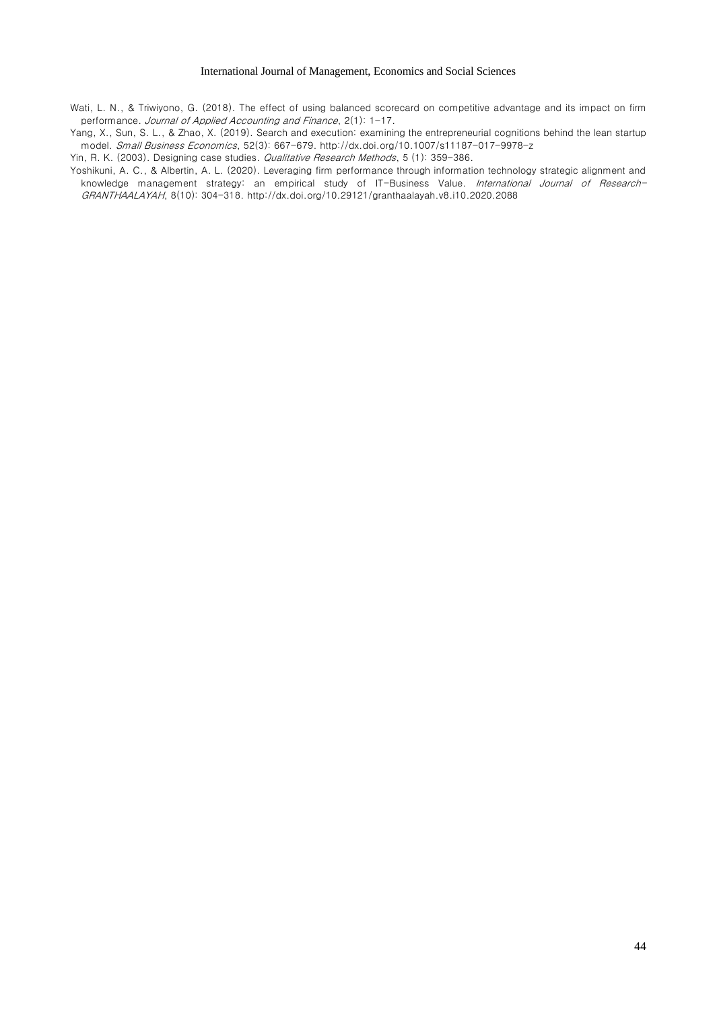Wati, L. N., & Triwiyono, G. (2018). The effect of using balanced scorecard on competitive advantage and its impact on firm performance. Journal of Applied Accounting and Finance, 2(1): 1-17.

Yang, X., Sun, S. L., & Zhao, X. (2019). Search and execution: examining the entrepreneurial cognitions behind the lean startup model. Small Business Economics, 52(3): 667-679[. http://dx.doi.org/10.1007/s11187-017-9978-z](http://dx.doi.org/10.1007/s11187-017-9978-z)

Yin, R. K. (2003). Designing case studies. Qualitative Research Methods, 5 (1): 359-386.

Yoshikuni, A. C., & Albertin, A. L. (2020). Leveraging firm performance through information technology strategic alignment and knowledge management strategy: an empirical study of IT-Business Value. International Journal of Research-GRANTHAALAYAH, 8(10): 304-318. <http://dx.doi.org/10.29121/granthaalayah.v8.i10.2020.2088>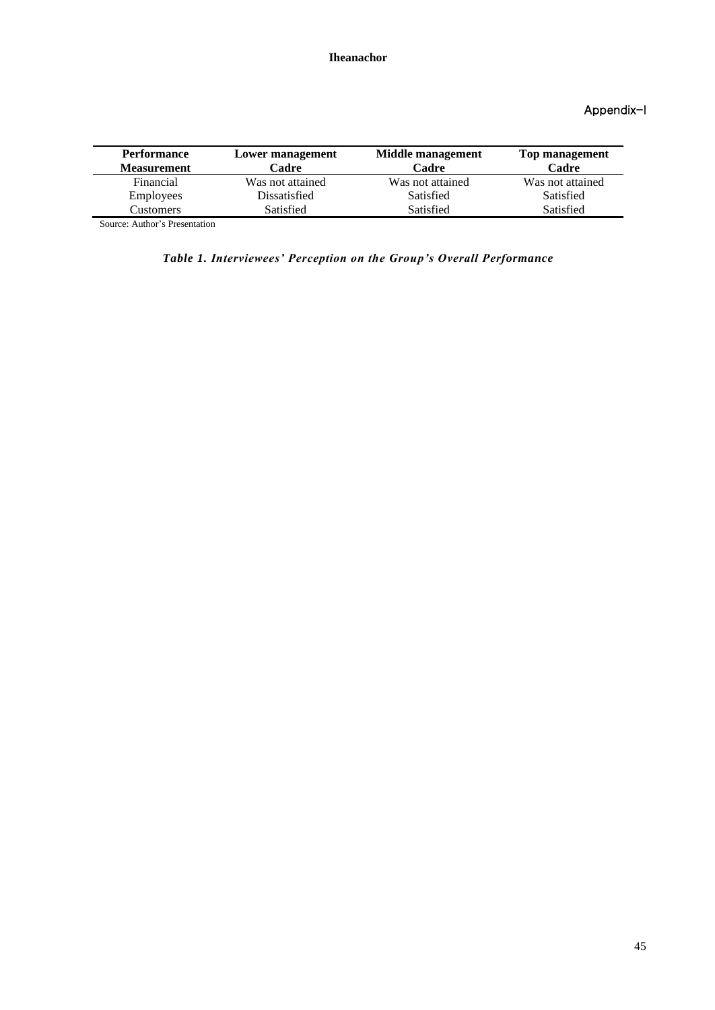# Appendix-I

| <b>Performance</b><br><b>Measurement</b> | Lower management<br>Cadre | Middle management<br>Cadre | Top management<br>Cadre |
|------------------------------------------|---------------------------|----------------------------|-------------------------|
| Financial                                | Was not attained          | Was not attained           | Was not attained        |
| <b>Employees</b>                         | Dissatisfied              | Satisfied                  | Satisfied               |
| Customers                                | <b>Satisfied</b>          | Satisfied                  | Satisfied               |
| $R = 1$                                  |                           |                            |                         |

Source: Author's Presentation

*Table 1. Interviewees' Perception on the Group's Overall Performance*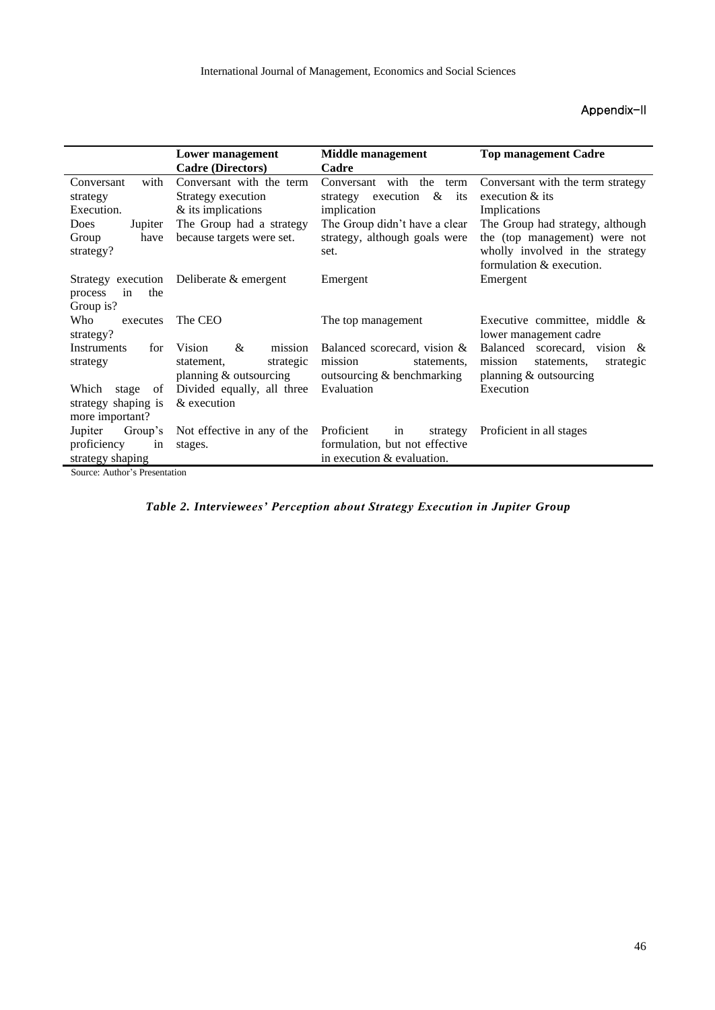# Appendix-II

|                        | Lower management            | Middle management                 | <b>Top management Cadre</b>         |  |
|------------------------|-----------------------------|-----------------------------------|-------------------------------------|--|
|                        | <b>Cadre (Directors)</b>    | Cadre                             |                                     |  |
| with<br>Conversant     | Conversant with the term    | with<br>the<br>Conversant<br>term | Conversant with the term strategy   |  |
| strategy               | Strategy execution          | &<br>execution<br>its<br>strategy | execution & its                     |  |
| Execution.             | & its implications          | implication                       | Implications                        |  |
| Jupiter<br><b>Does</b> | The Group had a strategy    | The Group didn't have a clear     | The Group had strategy, although    |  |
| have<br>Group          | because targets were set.   | strategy, although goals were     | the (top management) were not       |  |
| strategy?              |                             | set.                              | wholly involved in the strategy     |  |
|                        |                             |                                   | formulation & execution.            |  |
| Strategy execution     | Deliberate & emergent       | Emergent                          | Emergent                            |  |
| the<br>process<br>in   |                             |                                   |                                     |  |
| Group is?              |                             |                                   |                                     |  |
| Who<br>executes        | The CEO                     | The top management                | Executive committee, middle $\&$    |  |
| strategy?              |                             |                                   | lower management cadre              |  |
| Instruments<br>for     | &<br>Vision<br>mission      | Balanced scorecard, vision &      | Balanced scorecard, vision &        |  |
| strategy               | strategic<br>statement.     | mission<br>statements.            | mission<br>statements,<br>strategic |  |
|                        | planning & outsourcing      | outsourcing & benchmarking        | planning & outsourcing              |  |
| Which<br>stage<br>0f   | Divided equally, all three  | Evaluation                        | Execution                           |  |
| strategy shaping is    | & execution                 |                                   |                                     |  |
| more important?        |                             |                                   |                                     |  |
| Jupiter<br>Group's     | Not effective in any of the | Proficient<br>in<br>strategy      | Proficient in all stages            |  |
| proficiency<br>in      | stages.                     | formulation, but not effective    |                                     |  |
| strategy shaping       |                             | in execution & evaluation.        |                                     |  |
|                        |                             |                                   |                                     |  |

Source: Author's Presentation

*Table 2. Interviewees' Perception about Strategy Execution in Jupiter Group*